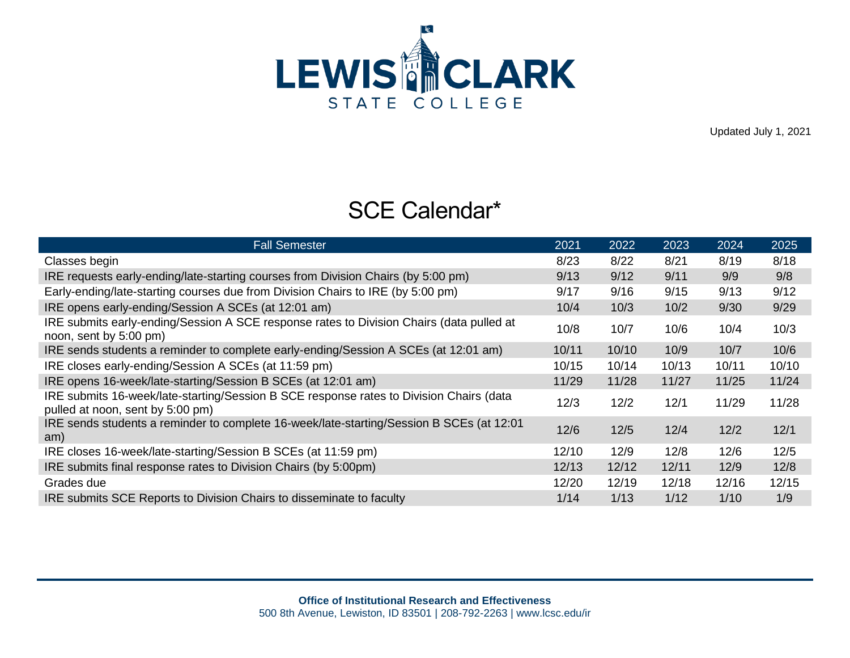

Updated July 1, 2021

## SCE Calendar\*

| <b>Fall Semester</b>                                                                                                        | 2021  | 2022  | 2023  | 2024  | 2025  |
|-----------------------------------------------------------------------------------------------------------------------------|-------|-------|-------|-------|-------|
| Classes begin                                                                                                               | 8/23  | 8/22  | 8/21  | 8/19  | 8/18  |
| IRE requests early-ending/late-starting courses from Division Chairs (by 5:00 pm)                                           | 9/13  | 9/12  | 9/11  | 9/9   | 9/8   |
| Early-ending/late-starting courses due from Division Chairs to IRE (by 5:00 pm)                                             | 9/17  | 9/16  | 9/15  | 9/13  | 9/12  |
| IRE opens early-ending/Session A SCEs (at 12:01 am)                                                                         | 10/4  | 10/3  | 10/2  | 9/30  | 9/29  |
| IRE submits early-ending/Session A SCE response rates to Division Chairs (data pulled at<br>noon, sent by 5:00 pm)          | 10/8  | 10/7  | 10/6  | 10/4  | 10/3  |
| IRE sends students a reminder to complete early-ending/Session A SCEs (at 12:01 am)                                         | 10/11 | 10/10 | 10/9  | 10/7  | 10/6  |
| IRE closes early-ending/Session A SCEs (at 11:59 pm)                                                                        | 10/15 | 10/14 | 10/13 | 10/11 | 10/10 |
| IRE opens 16-week/late-starting/Session B SCEs (at 12:01 am)                                                                | 11/29 | 11/28 | 11/27 | 11/25 | 11/24 |
| IRE submits 16-week/late-starting/Session B SCE response rates to Division Chairs (data<br>pulled at noon, sent by 5:00 pm) | 12/3  | 12/2  | 12/1  | 11/29 | 11/28 |
| IRE sends students a reminder to complete 16-week/late-starting/Session B SCEs (at 12:01<br>am)                             | 12/6  | 12/5  | 12/4  | 12/2  | 12/1  |
| IRE closes 16-week/late-starting/Session B SCEs (at 11:59 pm)                                                               | 12/10 | 12/9  | 12/8  | 12/6  | 12/5  |
| IRE submits final response rates to Division Chairs (by 5:00pm)                                                             | 12/13 | 12/12 | 12/11 | 12/9  | 12/8  |
| Grades due                                                                                                                  | 12/20 | 12/19 | 12/18 | 12/16 | 12/15 |
| IRE submits SCE Reports to Division Chairs to disseminate to faculty                                                        | 1/14  | 1/13  | 1/12  | 1/10  | 1/9   |